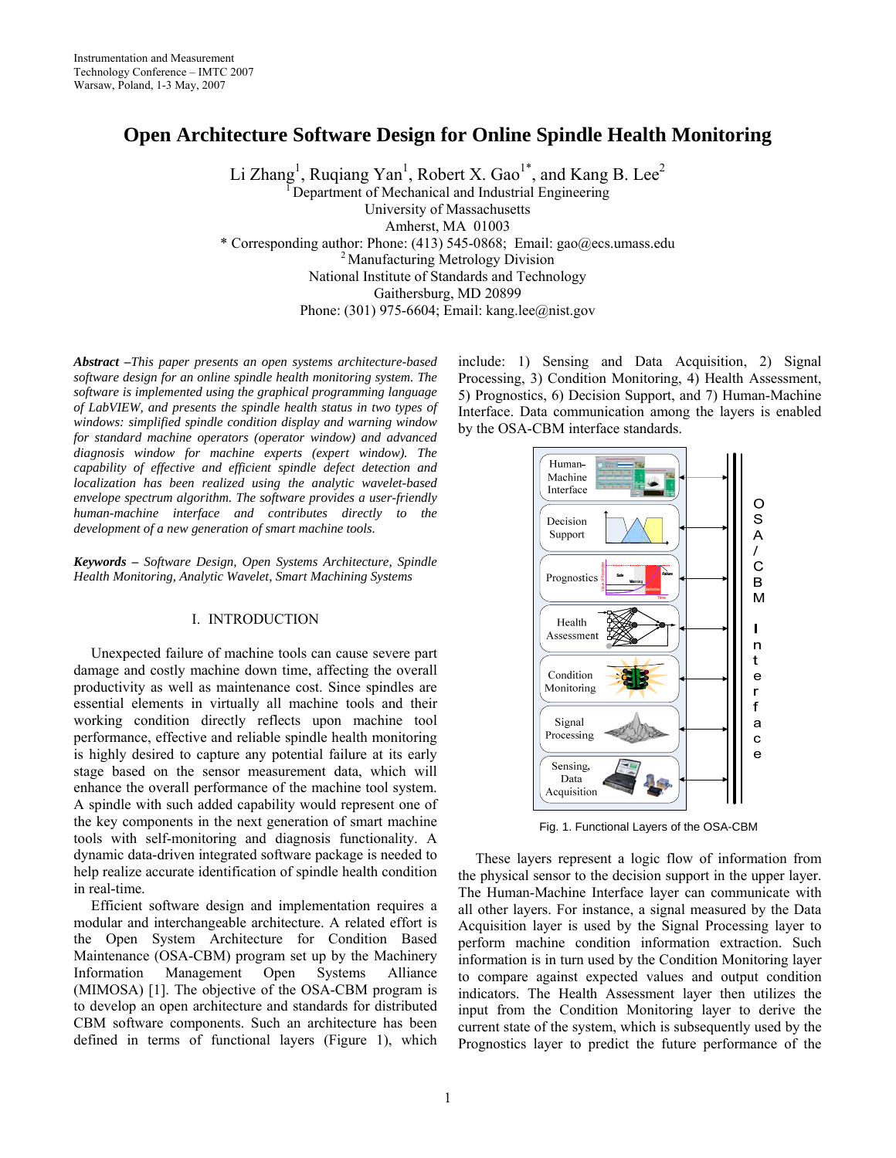# **Open Architecture Software Design for Online Spindle Health Monitoring**

Li Zhang<sup>1</sup>, Ruqiang Yan<sup>1</sup>, Robert X. Gao<sup>1\*</sup>, and Kang B. Lee<sup>2</sup>

 ${}^{1}$ Department of Mechanical and Industrial Engineering University of Massachusetts Amherst, MA 01003 \* Corresponding author: Phone: (413) 545-0868; Email: gao@ecs.umass.edu 2 Manufacturing Metrology Division

National Institute of Standards and Technology

Gaithersburg, MD 20899

Phone: (301) 975-6604; Email: kang.lee@nist.gov

*Abstract –This paper presents an open systems architecture-based software design for an online spindle health monitoring system. The software is implemented using the graphical programming language of LabVIEW, and presents the spindle health status in two types of windows: simplified spindle condition display and warning window for standard machine operators (operator window) and advanced diagnosis window for machine experts (expert window). The capability of effective and efficient spindle defect detection and localization has been realized using the analytic wavelet-based envelope spectrum algorithm. The software provides a user-friendly human-machine interface and contributes directly to the development of a new generation of smart machine tools.* 

*Keywords – Software Design, Open Systems Architecture, Spindle Health Monitoring, Analytic Wavelet, Smart Machining Systems*

## I. INTRODUCTION

Unexpected failure of machine tools can cause severe part damage and costly machine down time, affecting the overall productivity as well as maintenance cost. Since spindles are essential elements in virtually all machine tools and their working condition directly reflects upon machine tool performance, effective and reliable spindle health monitoring is highly desired to capture any potential failure at its early stage based on the sensor measurement data, which will enhance the overall performance of the machine tool system. A spindle with such added capability would represent one of the key components in the next generation of smart machine tools with self-monitoring and diagnosis functionality. A dynamic data-driven integrated software package is needed to help realize accurate identification of spindle health condition in real-time.

Efficient software design and implementation requires a modular and interchangeable architecture. A related effort is the Open System Architecture for Condition Based Maintenance (OSA-CBM) program set up by the Machinery Information Management Open Systems Alliance (MIMOSA) [1]. The objective of the OSA-CBM program is to develop an open architecture and standards for distributed CBM software components. Such an architecture has been defined in terms of functional layers (Figure 1), which include: 1) Sensing and Data Acquisition, 2) Signal Processing, 3) Condition Monitoring, 4) Health Assessment, 5) Prognostics, 6) Decision Support, and 7) Human-Machine Interface. Data communication among the layers is enabled by the OSA-CBM interface standards.



Fig. 1. Functional Layers of the OSA-CBM

These layers represent a logic flow of information from the physical sensor to the decision support in the upper layer. The Human-Machine Interface layer can communicate with all other layers. For instance, a signal measured by the Data Acquisition layer is used by the Signal Processing layer to perform machine condition information extraction. Such information is in turn used by the Condition Monitoring layer to compare against expected values and output condition indicators. The Health Assessment layer then utilizes the input from the Condition Monitoring layer to derive the current state of the system, which is subsequently used by the Prognostics layer to predict the future performance of the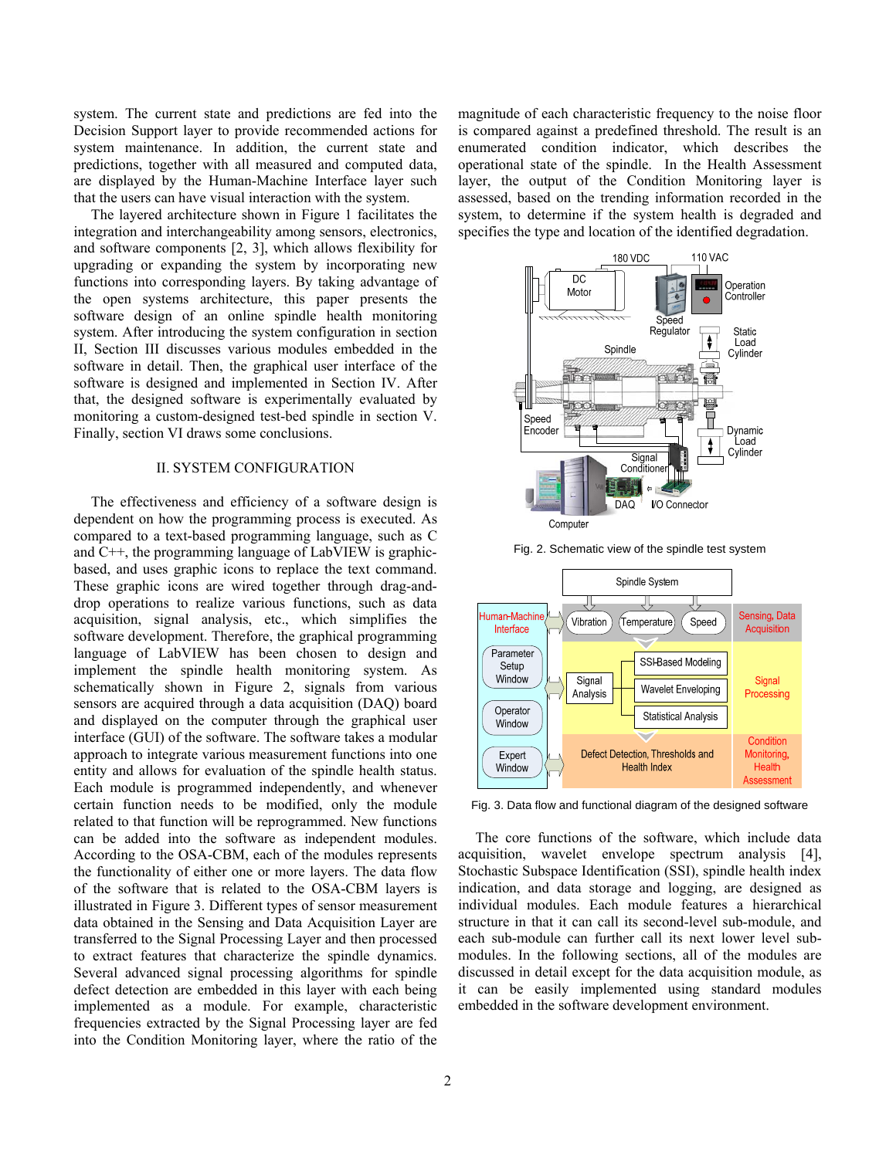system. The current state and predictions are fed into the Decision Support layer to provide recommended actions for system maintenance. In addition, the current state and predictions, together with all measured and computed data, are displayed by the Human-Machine Interface layer such that the users can have visual interaction with the system.

The layered architecture shown in Figure 1 facilitates the integration and interchangeability among sensors, electronics, and software components [2, 3], which allows flexibility for upgrading or expanding the system by incorporating new functions into corresponding layers. By taking advantage of the open systems architecture, this paper presents the software design of an online spindle health monitoring system. After introducing the system configuration in section II, Section III discusses various modules embedded in the software in detail. Then, the graphical user interface of the software is designed and implemented in Section IV. After that, the designed software is experimentally evaluated by monitoring a custom-designed test-bed spindle in section V. Finally, section VI draws some conclusions.

### II. SYSTEM CONFIGURATION

The effectiveness and efficiency of a software design is dependent on how the programming process is executed. As compared to a text-based programming language, such as C and C++, the programming language of LabVIEW is graphicbased, and uses graphic icons to replace the text command. These graphic icons are wired together through drag-anddrop operations to realize various functions, such as data acquisition, signal analysis, etc., which simplifies the software development. Therefore, the graphical programming language of LabVIEW has been chosen to design and implement the spindle health monitoring system. As schematically shown in Figure 2, signals from various sensors are acquired through a data acquisition (DAQ) board and displayed on the computer through the graphical user interface (GUI) of the software. The software takes a modular approach to integrate various measurement functions into one entity and allows for evaluation of the spindle health status. Each module is programmed independently, and whenever certain function needs to be modified, only the module related to that function will be reprogrammed. New functions can be added into the software as independent modules. According to the OSA-CBM, each of the modules represents the functionality of either one or more layers. The data flow of the software that is related to the OSA-CBM layers is illustrated in Figure 3. Different types of sensor measurement data obtained in the Sensing and Data Acquisition Layer are transferred to the Signal Processing Layer and then processed to extract features that characterize the spindle dynamics. Several advanced signal processing algorithms for spindle defect detection are embedded in this layer with each being implemented as a module. For example, characteristic frequencies extracted by the Signal Processing layer are fed into the Condition Monitoring layer, where the ratio of the magnitude of each characteristic frequency to the noise floor is compared against a predefined threshold. The result is an enumerated condition indicator, which describes the operational state of the spindle. In the Health Assessment layer, the output of the Condition Monitoring layer is assessed, based on the trending information recorded in the system, to determine if the system health is degraded and specifies the type and location of the identified degradation.





Fig. 2. Schematic view of the spindle test system



Fig. 3. Data flow and functional diagram of the designed software

The core functions of the software, which include data acquisition, wavelet envelope spectrum analysis [4], Stochastic Subspace Identification (SSI), spindle health index indication, and data storage and logging, are designed as individual modules. Each module features a hierarchical structure in that it can call its second-level sub-module, and each sub-module can further call its next lower level submodules. In the following sections, all of the modules are discussed in detail except for the data acquisition module, as it can be easily implemented using standard modules embedded in the software development environment.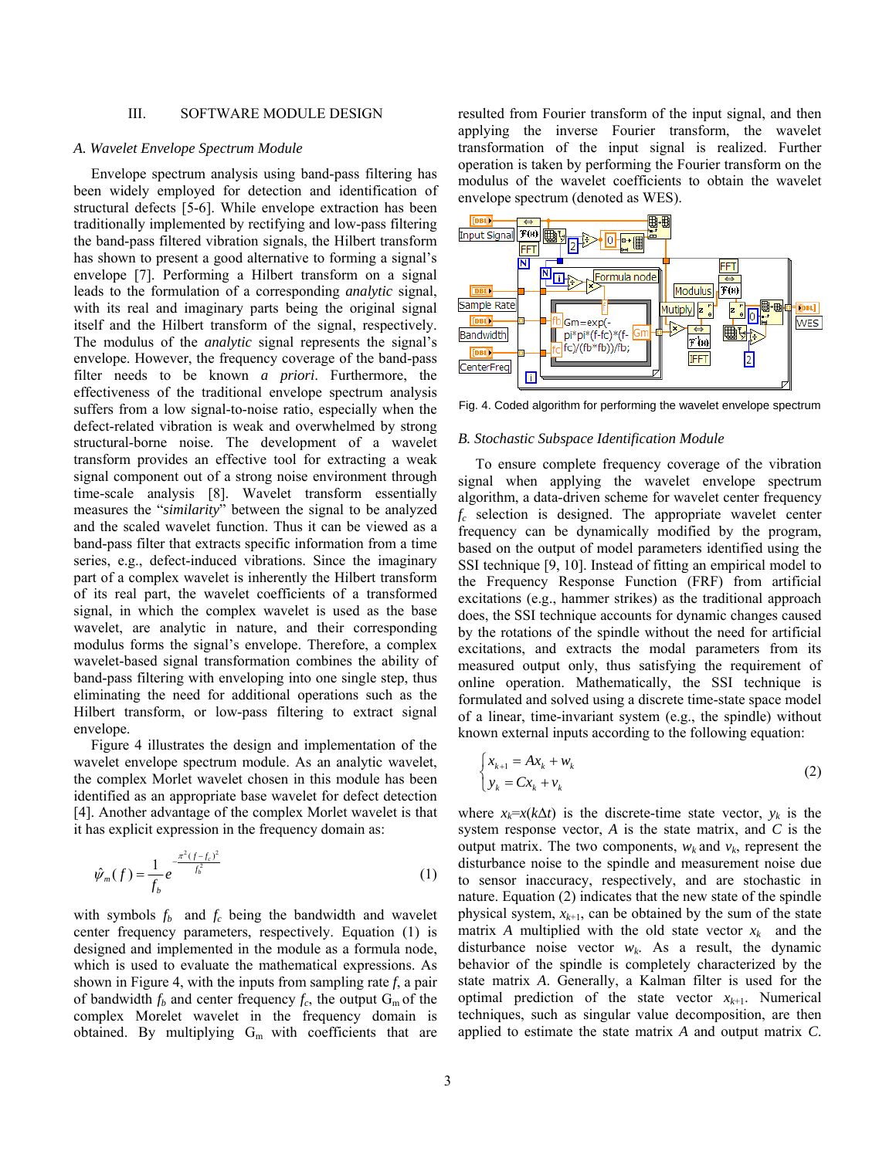# III. SOFTWARE MODULE DESIGN

#### *A. Wavelet Envelope Spectrum Module*

Envelope spectrum analysis using band-pass filtering has been widely employed for detection and identification of structural defects [5-6]. While envelope extraction has been traditionally implemented by rectifying and low-pass filtering the band-pass filtered vibration signals, the Hilbert transform has shown to present a good alternative to forming a signal's envelope [7]. Performing a Hilbert transform on a signal leads to the formulation of a corresponding *analytic* signal, with its real and imaginary parts being the original signal itself and the Hilbert transform of the signal, respectively. The modulus of the *analytic* signal represents the signal's envelope. However, the frequency coverage of the band-pass filter needs to be known *a priori*. Furthermore, the effectiveness of the traditional envelope spectrum analysis suffers from a low signal-to-noise ratio, especially when the defect-related vibration is weak and overwhelmed by strong structural-borne noise. The development of a wavelet transform provides an effective tool for extracting a weak signal component out of a strong noise environment through time-scale analysis [8]. Wavelet transform essentially measures the "*similarity*" between the signal to be analyzed and the scaled wavelet function. Thus it can be viewed as a band-pass filter that extracts specific information from a time series, e.g., defect-induced vibrations. Since the imaginary part of a complex wavelet is inherently the Hilbert transform of its real part, the wavelet coefficients of a transformed signal, in which the complex wavelet is used as the base wavelet, are analytic in nature, and their corresponding modulus forms the signal's envelope. Therefore, a complex wavelet-based signal transformation combines the ability of band-pass filtering with enveloping into one single step, thus eliminating the need for additional operations such as the Hilbert transform, or low-pass filtering to extract signal envelope.

Figure 4 illustrates the design and implementation of the wavelet envelope spectrum module. As an analytic wavelet, the complex Morlet wavelet chosen in this module has been identified as an appropriate base wavelet for defect detection [4]. Another advantage of the complex Morlet wavelet is that it has explicit expression in the frequency domain as:

$$
\hat{\psi}_m(f) = \frac{1}{f_b} e^{-\frac{\pi^2 (f - f_c)^2}{f_b^2}}
$$
\n(1)

with symbols  $f_b$  and  $f_c$  being the bandwidth and wavelet center frequency parameters, respectively. Equation (1) is designed and implemented in the module as a formula node, which is used to evaluate the mathematical expressions. As shown in Figure 4, with the inputs from sampling rate *f*, a pair of bandwidth  $f_b$  and center frequency  $f_c$ , the output  $G_m$  of the complex Morelet wavelet in the frequency domain is obtained. By multiplying  $G_m$  with coefficients that are resulted from Fourier transform of the input signal, and then applying the inverse Fourier transform, the wavelet transformation of the input signal is realized. Further operation is taken by performing the Fourier transform on the modulus of the wavelet coefficients to obtain the wavelet envelope spectrum (denoted as WES).



Fig. 4. Coded algorithm for performing the wavelet envelope spectrum

#### *B. Stochastic Subspace Identification Module*

To ensure complete frequency coverage of the vibration signal when applying the wavelet envelope spectrum algorithm, a data-driven scheme for wavelet center frequency *fc* selection is designed. The appropriate wavelet center frequency can be dynamically modified by the program, based on the output of model parameters identified using the SSI technique [9, 10]. Instead of fitting an empirical model to the Frequency Response Function (FRF) from artificial excitations (e.g., hammer strikes) as the traditional approach does, the SSI technique accounts for dynamic changes caused by the rotations of the spindle without the need for artificial excitations, and extracts the modal parameters from its measured output only, thus satisfying the requirement of online operation. Mathematically, the SSI technique is formulated and solved using a discrete time-state space model of a linear, time-invariant system (e.g., the spindle) without known external inputs according to the following equation:

$$
\begin{cases} x_{k+1} = Ax_k + w_k \\ y_k = Cx_k + v_k \end{cases}
$$
 (2)

where  $x_k = x(k\Delta t)$  is the discrete-time state vector,  $y_k$  is the system response vector, *A* is the state matrix, and *C* is the output matrix. The two components,  $w_k$  and  $v_k$ , represent the disturbance noise to the spindle and measurement noise due to sensor inaccuracy, respectively, and are stochastic in nature. Equation (2) indicates that the new state of the spindle physical system,  $x_{k+1}$ , can be obtained by the sum of the state matrix *A* multiplied with the old state vector  $x_k$  and the disturbance noise vector  $w_k$ . As a result, the dynamic behavior of the spindle is completely characterized by the state matrix *A*. Generally, a Kalman filter is used for the optimal prediction of the state vector  $x_{k+1}$ . Numerical techniques, such as singular value decomposition, are then applied to estimate the state matrix *A* and output matrix *C*.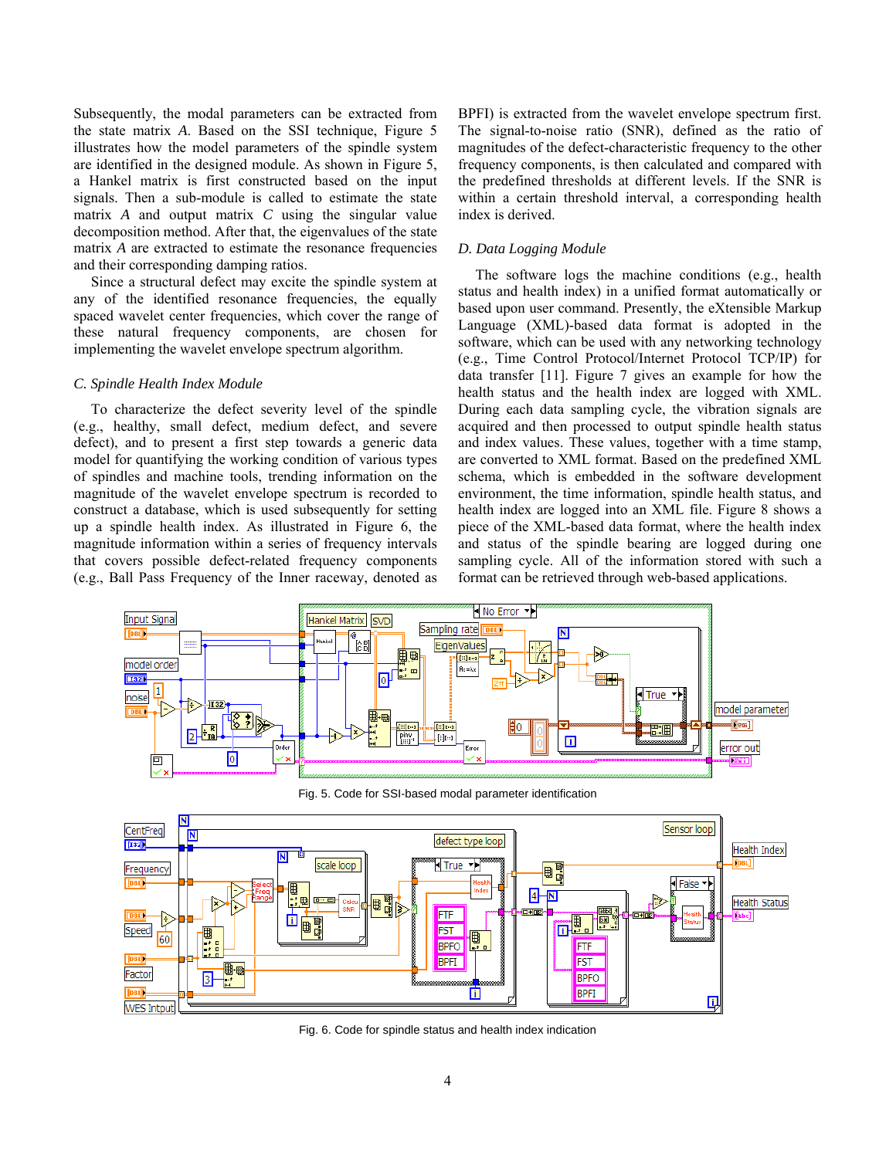Subsequently, the modal parameters can be extracted from the state matrix *A*. Based on the SSI technique, Figure 5 illustrates how the model parameters of the spindle system are identified in the designed module. As shown in Figure 5, a Hankel matrix is first constructed based on the input signals. Then a sub-module is called to estimate the state matrix *A* and output matrix *C* using the singular value decomposition method. After that, the eigenvalues of the state matrix *A* are extracted to estimate the resonance frequencies and their corresponding damping ratios.

Since a structural defect may excite the spindle system at any of the identified resonance frequencies, the equally spaced wavelet center frequencies, which cover the range of these natural frequency components, are chosen for implementing the wavelet envelope spectrum algorithm.

#### *C. Spindle Health Index Module*

To characterize the defect severity level of the spindle (e.g., healthy, small defect, medium defect, and severe defect), and to present a first step towards a generic data model for quantifying the working condition of various types of spindles and machine tools, trending information on the magnitude of the wavelet envelope spectrum is recorded to construct a database, which is used subsequently for setting up a spindle health index. As illustrated in Figure 6, the magnitude information within a series of frequency intervals that covers possible defect-related frequency components (e.g., Ball Pass Frequency of the Inner raceway, denoted as BPFI) is extracted from the wavelet envelope spectrum first. The signal-to-noise ratio (SNR), defined as the ratio of magnitudes of the defect-characteristic frequency to the other frequency components, is then calculated and compared with the predefined thresholds at different levels. If the SNR is within a certain threshold interval, a corresponding health index is derived.

## *D. Data Logging Module*

The software logs the machine conditions (e.g., health status and health index) in a unified format automatically or based upon user command. Presently, the eXtensible Markup Language (XML)-based data format is adopted in the software, which can be used with any networking technology (e.g., Time Control Protocol/Internet Protocol TCP/IP) for data transfer [11]. Figure 7 gives an example for how the health status and the health index are logged with XML. During each data sampling cycle, the vibration signals are acquired and then processed to output spindle health status and index values. These values, together with a time stamp, are converted to XML format. Based on the predefined XML schema, which is embedded in the software development environment, the time information, spindle health status, and health index are logged into an XML file. Figure 8 shows a piece of the XML-based data format, where the health index and status of the spindle bearing are logged during one sampling cycle. All of the information stored with such a format can be retrieved through web-based applications.



Fig. 5. Code for SSI-based modal parameter identification



Fig. 6. Code for spindle status and health index indication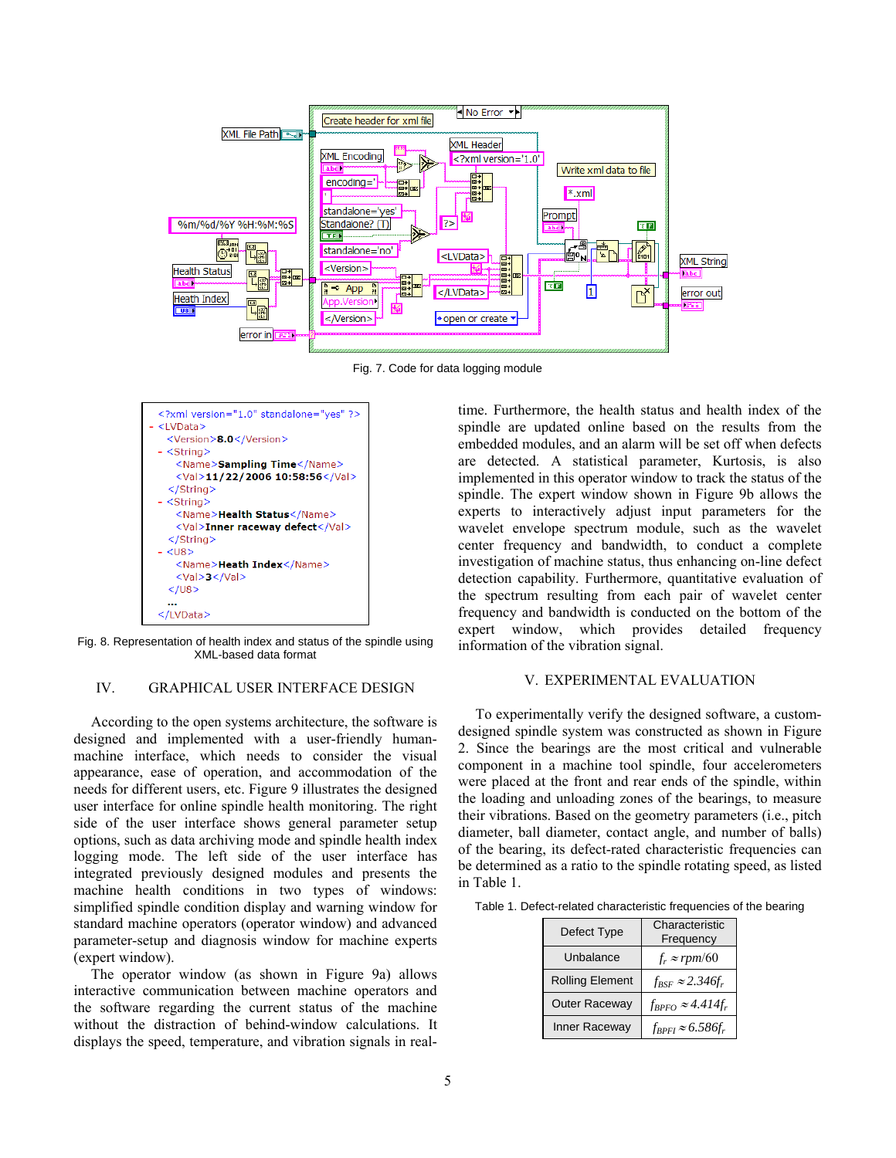

Fig. 7. Code for data logging module



Fig. 8. Representation of health index and status of the spindle using XML-based data format

## IV. GRAPHICAL USER INTERFACE DESIGN

According to the open systems architecture, the software is designed and implemented with a user-friendly humanmachine interface, which needs to consider the visual appearance, ease of operation, and accommodation of the needs for different users, etc. Figure 9 illustrates the designed user interface for online spindle health monitoring. The right side of the user interface shows general parameter setup options, such as data archiving mode and spindle health index logging mode. The left side of the user interface has integrated previously designed modules and presents the machine health conditions in two types of windows: simplified spindle condition display and warning window for standard machine operators (operator window) and advanced parameter-setup and diagnosis window for machine experts (expert window).

The operator window (as shown in Figure 9a) allows interactive communication between machine operators and the software regarding the current status of the machine without the distraction of behind-window calculations. It displays the speed, temperature, and vibration signals in realtime. Furthermore, the health status and health index of the spindle are updated online based on the results from the embedded modules, and an alarm will be set off when defects are detected. A statistical parameter, Kurtosis, is also implemented in this operator window to track the status of the spindle. The expert window shown in Figure 9b allows the experts to interactively adjust input parameters for the wavelet envelope spectrum module, such as the wavelet center frequency and bandwidth, to conduct a complete investigation of machine status, thus enhancing on-line defect detection capability. Furthermore, quantitative evaluation of the spectrum resulting from each pair of wavelet center frequency and bandwidth is conducted on the bottom of the expert window, which provides detailed frequency information of the vibration signal.

## V. EXPERIMENTAL EVALUATION

To experimentally verify the designed software, a customdesigned spindle system was constructed as shown in Figure 2. Since the bearings are the most critical and vulnerable component in a machine tool spindle, four accelerometers were placed at the front and rear ends of the spindle, within the loading and unloading zones of the bearings, to measure their vibrations. Based on the geometry parameters (i.e., pitch diameter, ball diameter, contact angle, and number of balls) of the bearing, its defect-rated characteristic frequencies can be determined as a ratio to the spindle rotating speed, as listed in Table 1.

Table 1. Defect-related characteristic frequencies of the bearing

| Defect Type            | Characteristic<br>Frequency         |
|------------------------|-------------------------------------|
| Unbalance              | $f_r \approx r$ pm/60               |
| <b>Rolling Element</b> | $f_{BSF} \approx 2.346f_r$          |
| Outer Raceway          | $f_{BPPO} \approx 4.414 f_r$        |
| Inner Raceway          | $f_{\text{BPFI}} \approx 6.586 f_r$ |